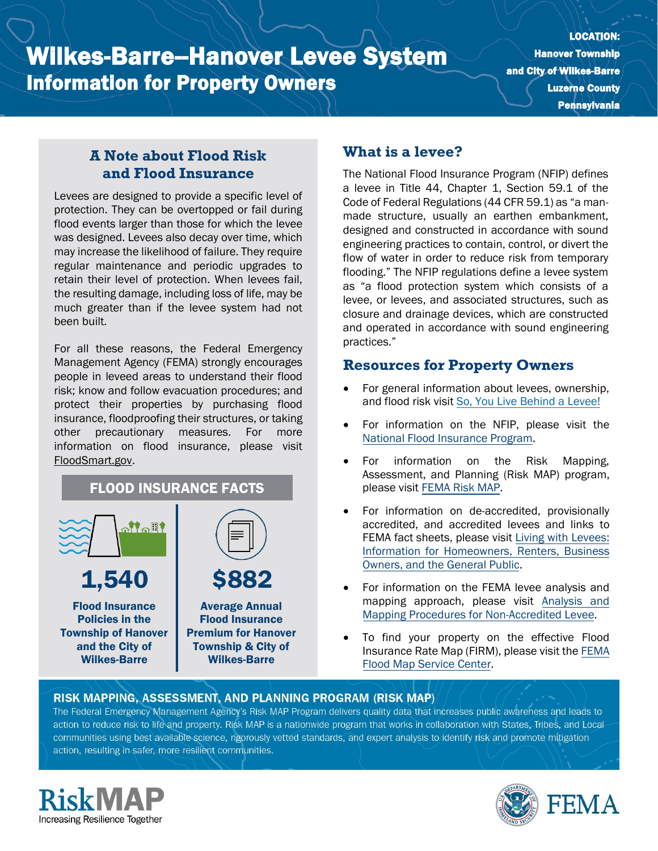# Wilkes-Barre--Hanover Levee System Information for Property Owners

LOCATION: Hanover Township and City of Wilkes-Barre Luzerne County **Pennsylvania** 

## **A Note about Flood Risk and Flood Insurance**

Levees are designed to provide a specific level of protection. They can be overtopped or fail during flood events larger than those for which the levee was designed. Levees also decay over time, which may increase the likelihood of failure. They require regular maintenance and periodic upgrades to retain their level of protection. When levees fail, the resulting damage, including loss of life, may be much greater than if the levee system had not been built.

For all these reasons, the Federal Emergency Management Agency (FEMA) strongly encourages people in leveed areas to understand their flood risk; know and follow evacuation procedures; and protect their properties by purchasing flood insurance, floodproofing their structures, or taking other precautionary measures. For more information on flood insurance, please visit [FloodSmart.gov.](https://www.floodsmart.gov/)

# FLOOD INSURANCE FACTS



## **What is a levee?**

The National Flood Insurance Program (NFIP) defines a levee in Title 44, Chapter 1, Section 59.1 of the Code of Federal Regulations (44 CFR 59.1) as "a manmade structure, usually an earthen embankment, designed and constructed in accordance with sound engineering practices to contain, control, or divert the flow of water in order to reduce risk from temporary flooding." The NFIP regulations define a levee system as "a flood protection system which consists of a levee, or levees, and associated structures, such as closure and drainage devices, which are constructed and operated in accordance with sound engineering practices."

#### **Resources for Property Owners**

- For general information about levees, ownership, and flood risk visit [So, You Live Behind a Levee!](https://ascelibrary.org/doi/book/10.1061/9780784410837)
- For information on th[e](https://www.fema.gov/national-flood-insurance-program) NFIP, please visit the [National Flood Insurance Program.](https://www.fema.gov/national-flood-insurance-program)
- For information on the Risk Mapping, Assessment, and Planning (Risk MAP) program, please visit [FEMA Risk MAP.](https://www.fema.gov/flood-maps/tools-resources/risk-map)
- For information on de-accredited, provisionally accredited, and accredited levees and links to FEMA fact sheets, please visit [Living with Levees:](https://www.fema.gov/flood-maps/living-levees) [Information for Homeowners, Renters, Business](https://www.fema.gov/flood-maps/living-levees) [Owners, and the General Public.](https://www.fema.gov/flood-maps/living-levees)
- For information on the FEMA levee analysis and mapping approach, please visit [Analysis and](https://www.fema.gov/media-library-data/20130726-1922-25045-4455/20130703_approachdocument_508.pdf) [Mapping Procedures for Non-Accredited Levee.](https://www.fema.gov/media-library-data/20130726-1922-25045-4455/20130703_approachdocument_508.pdf)
- To find your property on the effective Flood Insurance Rate Map (FIRM), please visit th[e FEMA](https://msc.fema.gov/portal/) [Flood Map Service Center.](https://msc.fema.gov/portal/)

#### RISK MAPPING, ASSESSMENT, AND PLANNING PROGRAM (RISK MAP)

The Federal Emergency Management Agency's Risk MAP Program delivers quality data that increases public awareness and leads to action to reduce risk to life and property. Risk MAP is a nationwide program that works in collaboration with States, Tribes, and Localcommunities using best available science, rigorously vetted standards, and expert analysis to identify risk and promote mitigation action, resulting in safer, more resilient communities.